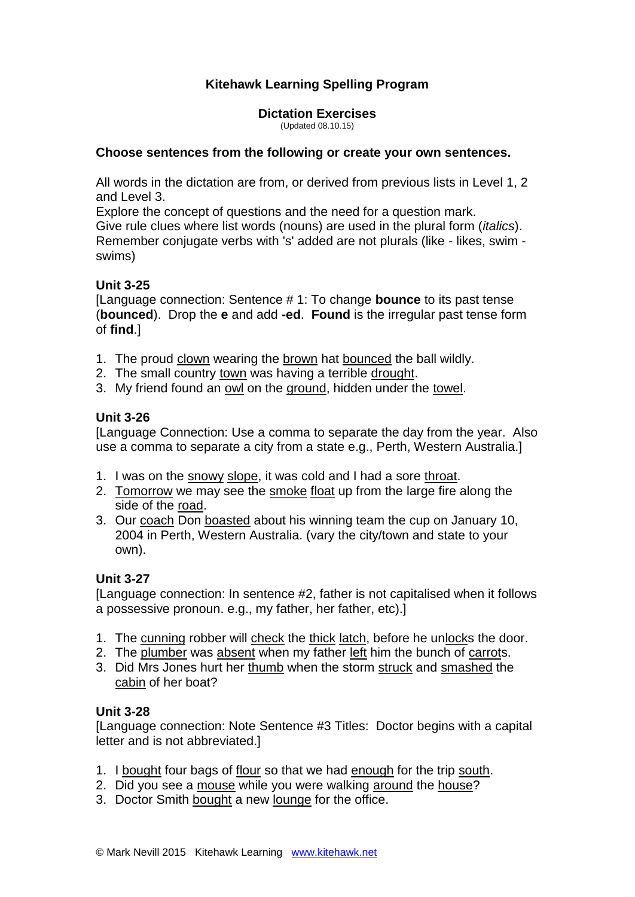# **Kitehawk Learning Spelling Program**

**Dictation Exercises** (Updated 08.10.15)

#### **Choose sentences from the following or create your own sentences.**

All words in the dictation are from, or derived from previous lists in Level 1, 2 and Level 3.

Explore the concept of questions and the need for a question mark. Give rule clues where list words (nouns) are used in the plural form (*italics*). Remember conjugate verbs with 's' added are not plurals (like - likes, swim swims)

# **Unit 3-25**

[Language connection: Sentence # 1: To change **bounce** to its past tense (**bounced**). Drop the **e** and add **-ed**. **Found** is the irregular past tense form of **find**.]

- 1. The proud clown wearing the brown hat bounced the ball wildly.
- 2. The small country town was having a terrible drought.
- 3. My friend found an owl on the ground, hidden under the towel.

# **Unit 3-26**

[Language Connection: Use a comma to separate the day from the year. Also use a comma to separate a city from a state e.g., Perth, Western Australia.]

- 1. I was on the snowy slope, it was cold and I had a sore throat.
- 2. Tomorrow we may see the smoke float up from the large fire along the side of the road.
- 3. Our coach Don boasted about his winning team the cup on January 10, 2004 in Perth, Western Australia. (vary the city/town and state to your own).

# **Unit 3-27**

[Language connection: In sentence #2, father is not capitalised when it follows a possessive pronoun. e.g., my father, her father, etc).]

- 1. The cunning robber will check the thick latch, before he unlocks the door.
- 2. The plumber was absent when my father left him the bunch of carrots.
- 3. Did Mrs Jones hurt her thumb when the storm struck and smashed the cabin of her boat?

# **Unit 3-28**

[Language connection: Note Sentence #3 Titles: Doctor begins with a capital letter and is not abbreviated.]

- 1. I bought four bags of flour so that we had enough for the trip south.
- 2. Did you see a mouse while you were walking around the house?
- 3. Doctor Smith bought a new lounge for the office.